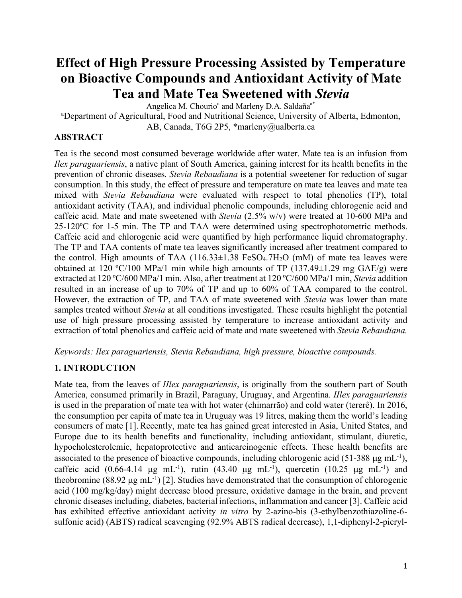# **Effect of High Pressure Processing Assisted by Temperature on Bioactive Compounds and Antioxidant Activity of Mate Tea and Mate Tea Sweetened with** *Stevia*

Angelica M. Chourio<sup>a</sup> and Marleny D.A. Saldaña<sup>a\*</sup>

<sup>a</sup>Department of Agricultural, Food and Nutritional Science, University of Alberta, Edmonton,

AB, Canada, T6G 2P5, \*marleny@ualberta.ca

## **ABSTRACT**

Tea is the second most consumed beverage worldwide after water. Mate tea is an infusion from *Ilex paraguariensis*, a native plant of South America, gaining interest for its health benefits in the prevention of chronic diseases. *Stevia Rebaudiana* is a potential sweetener for reduction of sugar consumption. In this study, the effect of pressure and temperature on mate tea leaves and mate tea mixed with *Stevia Rebaudiana* were evaluated with respect to total phenolics (TP), total antioxidant activity (TAA), and individual phenolic compounds, including chlorogenic acid and caffeic acid. Mate and mate sweetened with *Stevia* (2.5% w/v) were treated at 10-600 MPa and 25-120ºC for 1-5 min. The TP and TAA were determined using spectrophotometric methods. Caffeic acid and chlorogenic acid were quantified by high performance liquid chromatography. The TP and TAA contents of mate tea leaves significantly increased after treatment compared to the control. High amounts of TAA  $(116.33\pm1.38 \text{ FeSO}_4.7\text{H}_2\text{O} \text{ (mM)}$  of mate tea leaves were obtained at 120 °C/100 MPa/1 min while high amounts of TP (137.49 $\pm$ 1.29 mg GAE/g) were extracted at 120 ºC/600 MPa/1 min. Also, after treatment at 120 ºC/600 MPa/1 min, *Stevia* addition resulted in an increase of up to 70% of TP and up to 60% of TAA compared to the control. However, the extraction of TP, and TAA of mate sweetened with *Stevia* was lower than mate samples treated without *Stevia* at all conditions investigated. These results highlight the potential use of high pressure processing assisted by temperature to increase antioxidant activity and extraction of total phenolics and caffeic acid of mate and mate sweetened with *Stevia Rebaudiana.*

*Keywords: Ilex paraguariensis, Stevia Rebaudiana, high pressure, bioactive compounds.*

## **1. INTRODUCTION**

Mate tea, from the leaves of *IIlex paraguariensis*, is originally from the southern part of South America, consumed primarily in Brazil, Paraguay, Uruguay, and Argentina. *IIlex paraguariensis*  is used in the preparation of mate tea with hot water (chimarrão) and cold water (tererê). In 2016, the consumption per capita of mate tea in Uruguay was 19 litres, making them the world's leading consumers of mate [1]. Recently, mate tea has gained great interested in Asia, United States, and Europe due to its health benefits and functionality, including antioxidant, stimulant, diuretic, hypocholesterolemic, hepatoprotective and anticarcinogenic effects. These health benefits are associated to the presence of bioactive compounds, including chlorogenic acid (51-388  $\mu$ g mL<sup>-1</sup>), caffeic acid (0.66-4.14  $\mu$ g mL<sup>-1</sup>), rutin (43.40  $\mu$ g mL<sup>-1</sup>), quercetin (10.25  $\mu$ g mL<sup>-1</sup>) and theobromine (88.92  $\mu$ g mL<sup>-1</sup>) [2]. Studies have demonstrated that the consumption of chlorogenic acid (100 mg/kg/day) might decrease blood pressure, oxidative damage in the brain, and prevent chronic diseases including, diabetes, bacterial infections, inflammation and cancer [3]. Caffeic acid has exhibited effective antioxidant activity *in vitro* by 2-azino-bis (3-ethylbenzothiazoline-6 sulfonic acid) (ABTS) radical scavenging (92.9% ABTS radical decrease), 1,1-diphenyl-2-picryl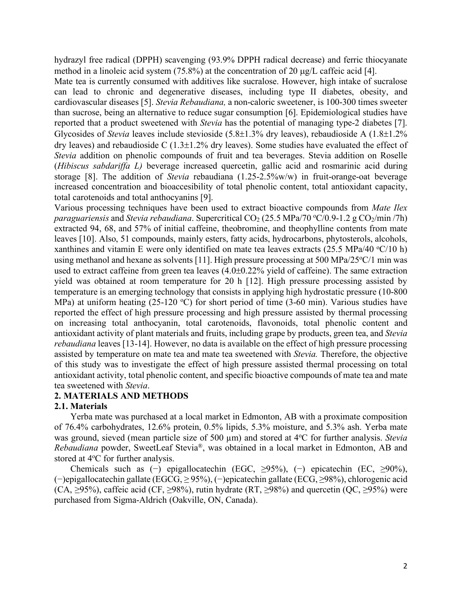hydrazyl free radical (DPPH) scavenging (93.9% DPPH radical decrease) and ferric thiocyanate method in a linoleic acid system (75.8%) at the concentration of 20 µg/L caffeic acid [4].

Mate tea is currently consumed with additives like sucralose. However, high intake of sucralose can lead to chronic and degenerative diseases, including type II diabetes, obesity, and cardiovascular diseases [5]. *Stevia Rebaudiana,* a non-caloric sweetener, is 100-300 times sweeter than sucrose, being an alternative to reduce sugar consumption [6]. Epidemiological studies have reported that a product sweetened with *Stevia* has the potential of managing type-2 diabetes [7]. Glycosides of *Stevia* leaves include stevioside (5.8±1.3% dry leaves), rebaudioside A (1.8±1.2% dry leaves) and rebaudioside C  $(1.3\pm1.2\%$  dry leaves). Some studies have evaluated the effect of *Stevia* addition on phenolic compounds of fruit and tea beverages. Stevia addition on Roselle (*Hibiscus sabdariffa L)* beverage increased quercetin, gallic acid and rosmarinic acid during storage [8]. The addition of *Stevia* rebaudiana (1.25-2.5%w/w) in fruit-orange-oat beverage increased concentration and bioaccesibility of total phenolic content, total antioxidant capacity, total carotenoids and total anthocyanins [9].

Various processing techniques have been used to extract bioactive compounds from *Mate Ilex*  paraguariensis and *Stevia rebaudiana*. Supercritical CO<sub>2</sub> (25.5 MPa/70 °C/0.9-1.2 g CO<sub>2</sub>/min /7h) extracted 94, 68, and 57% of initial caffeine, theobromine, and theophylline contents from mate leaves [10]. Also, 51 compounds, mainly esters, fatty acids, hydrocarbons, phytosterols, alcohols, xanthines and vitamin E were only identified on mate tea leaves extracts (25.5 MPa/40  $\degree$ C/10 h) using methanol and hexane as solvents [11]. High pressure processing at 500 MPa/25°C/1 min was used to extract caffeine from green tea leaves (4.0±0.22% yield of caffeine). The same extraction yield was obtained at room temperature for 20 h [12]. High pressure processing assisted by temperature is an emerging technology that consists in applying high hydrostatic pressure (10-800 MPa) at uniform heating  $(25{\text -}120 \text{ °C})$  for short period of time  $(3{\text -}60 \text{ min})$ . Various studies have reported the effect of high pressure processing and high pressure assisted by thermal processing on increasing total anthocyanin, total carotenoids, flavonoids, total phenolic content and antioxidant activity of plant materials and fruits, including grape by products, green tea, and *Stevia rebaudiana* leaves [13-14]. However, no data is available on the effect of high pressure processing assisted by temperature on mate tea and mate tea sweetened with *Stevia.* Therefore, the objective of this study was to investigate the effect of high pressure assisted thermal processing on total antioxidant activity, total phenolic content, and specific bioactive compounds of mate tea and mate tea sweetened with *Stevia*.

#### **2. MATERIALS AND METHODS**

#### **2.1. Materials**

Yerba mate was purchased at a local market in Edmonton, AB with a proximate composition of 76.4% carbohydrates, 12.6% protein, 0.5% lipids, 5.3% moisture, and 5.3% ash. Yerba mate was ground, sieved (mean particle size of 500 µm) and stored at 4°C for further analysis. *Stevia Rebaudiana* powder, SweetLeaf Stevia®, was obtained in a local market in Edmonton, AB and stored at 4°C for further analysis.

Chemicals such as (−) epigallocatechin (EGC, ≥95%), (−) epicatechin (EC, ≥90%), (−)epigallocatechin gallate (EGCG, ≥ 95%), (−)epicatechin gallate (ECG, ≥98%), chlorogenic acid (CA,  $\geq$ 95%), caffeic acid (CF,  $\geq$ 98%), rutin hydrate (RT,  $\geq$ 98%) and quercetin (QC,  $\geq$ 95%) were purchased from Sigma-Aldrich (Oakville, ON, Canada).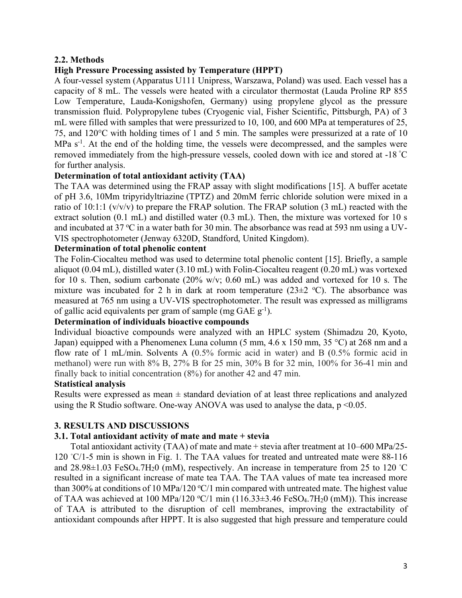## **2.2. Methods**

## **High Pressure Processing assisted by Temperature (HPPT)**

A four-vessel system (Apparatus U111 Unipress, Warszawa, Poland) was used. Each vessel has a capacity of 8 mL. The vessels were heated with a circulator thermostat (Lauda Proline RP 855 Low Temperature, Lauda-Konigshofen, Germany) using propylene glycol as the pressure transmission fluid. Polypropylene tubes (Cryogenic vial, Fisher Scientific, Pittsburgh, PA) of 3 mL were filled with samples that were pressurized to 10, 100, and 600 MPa at temperatures of 25, 75, and 120°C with holding times of 1 and 5 min. The samples were pressurized at a rate of 10 MPa s<sup>-1</sup>. At the end of the holding time, the vessels were decompressed, and the samples were removed immediately from the high-pressure vessels, cooled down with ice and stored at -18 ° C for further analysis.

### **Determination of total antioxidant activity (TAA)**

The TAA was determined using the FRAP assay with slight modifications [15]. A buffer acetate of pH 3.6, 10Mm tripyridyltriazine (TPTZ) and 20mM ferric chloride solution were mixed in a ratio of 10:1:1 (v/v/v) to prepare the FRAP solution. The FRAP solution (3 mL) reacted with the extract solution (0.1 mL) and distilled water (0.3 mL). Then, the mixture was vortexed for 10 s and incubated at 37 °C in a water bath for 30 min. The absorbance was read at 593 nm using a UV-VIS spectrophotometer (Jenway 6320D, Standford, United Kingdom).

### **Determination of total phenolic content**

The Folin-Ciocalteu method was used to determine total phenolic content [15]. Briefly, a sample aliquot (0.04 mL), distilled water (3.10 mL) with Folin-Ciocalteu reagent (0.20 mL) was vortexed for 10 s. Then, sodium carbonate (20% w/v; 0.60 mL) was added and vortexed for 10 s. The mixture was incubated for 2 h in dark at room temperature  $(23\pm2~^{\circ}C)$ . The absorbance was measured at 765 nm using a UV-VIS spectrophotometer. The result was expressed as milligrams of gallic acid equivalents per gram of sample (mg  $GAE$  g<sup>-1</sup>).

#### **Determination of individuals bioactive compounds**

Individual bioactive compounds were analyzed with an HPLC system (Shimadzu 20, Kyoto, Japan) equipped with a Phenomenex Luna column (5 mm, 4.6 x 150 mm, 35 °C) at 268 nm and a flow rate of 1 mL/min. Solvents A (0.5% formic acid in water) and B (0.5% formic acid in methanol) were run with 8% B, 27% B for 25 min, 30% B for 32 min, 100% for 36-41 min and finally back to initial concentration (8%) for another 42 and 47 min.

#### **Statistical analysis**

Results were expressed as mean  $\pm$  standard deviation of at least three replications and analyzed using the R Studio software. One-way ANOVA was used to analyse the data,  $p \le 0.05$ .

## **3. RESULTS AND DISCUSSIONS**

## **3.1. Total antioxidant activity of mate and mate + stevia**

Total antioxidant activity (TAA) of mate and mate + stevia after treatment at 10–600 MPa/25- 120 °C/1-5 min is shown in Fig. 1. The TAA values for treated and untreated mate were 88-116 and  $28.98\pm1.03$  FeSO<sub>4</sub>.7H<sub>2</sub>0 (mM), respectively. An increase in temperature from 25 to 120 °C resulted in a significant increase of mate tea TAA. The TAA values of mate tea increased more than 300% at conditions of 10 MPa/120 °C/1 min compared with untreated mate. The highest value of TAA was achieved at 100 MPa/120  $\textdegree$ C/1 min (116.33 $\pm$ 3.46 FeSO<sub>4</sub>.7H<sub>2</sub>0 (mM)). This increase of TAA is attributed to the disruption of cell membranes, improving the extractability of antioxidant compounds after HPPT. It is also suggested that high pressure and temperature could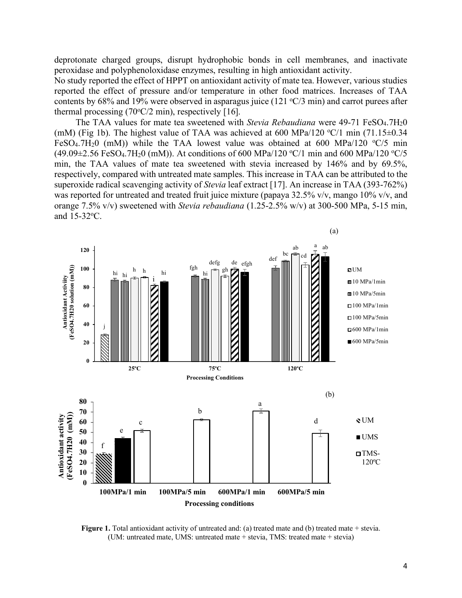deprotonate charged groups, disrupt hydrophobic bonds in cell membranes, and inactivate peroxidase and polyphenoloxidase enzymes, resulting in high antioxidant activity.

No study reported the effect of HPPT on antioxidant activity of mate tea. However, various studies reported the effect of pressure and/or temperature in other food matrices. Increases of TAA contents by 68% and 19% were observed in asparagus juice (121  $\degree$ C/3 min) and carrot purees after thermal processing  $(70^{\circ}C/2 \text{ min})$ , respectively [16].

The TAA values for mate tea sweetened with *Stevia Rebaudiana* were 49-71 FeSO<sub>4</sub>.7H<sub>2</sub>0 (mM) (Fig 1b). The highest value of TAA was achieved at 600 MPa/120  $\degree$ C/1 min (71.15 $\pm$ 0.34 FeSO<sub>4</sub>.7H<sub>2</sub>0 (mM)) while the TAA lowest value was obtained at 600 MPa/120  $\degree$ C/5 min  $(49.09 \pm 2.56 \text{ FeSO}_4.7 \text{H}_20 \text{ (mM)})$ . At conditions of 600 MPa/120 °C/1 min and 600 MPa/120 °C/5 min, the TAA values of mate tea sweetened with stevia increased by 146% and by 69.5%, respectively, compared with untreated mate samples. This increase in TAA can be attributed to the superoxide radical scavenging activity of *Stevia* leaf extract [17]. An increase in TAA (393-762%) was reported for untreated and treated fruit juice mixture (papaya 32.5% v/v, mango 10% v/v, and orange 7.5% v/v) sweetened with *Stevia rebaudiana* (1.25-2.5% w/v) at 300-500 MPa, 5-15 min, and 15-32<sup>o</sup>C.



**Figure 1.** Total antioxidant activity of untreated and: (a) treated mate and (b) treated mate + stevia. (UM: untreated mate, UMS: untreated mate + stevia, TMS: treated mate + stevia)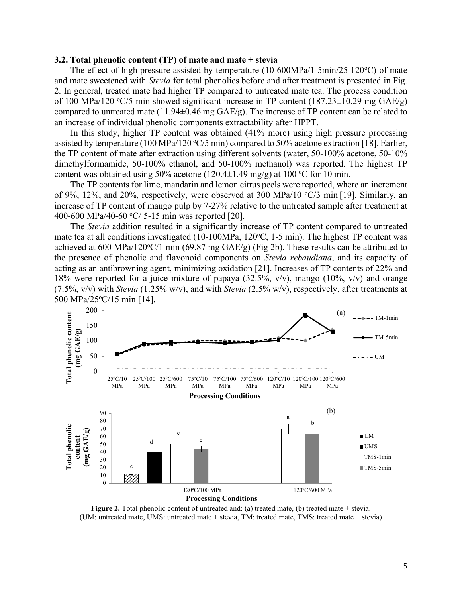#### **3.2. Total phenolic content (TP) of mate and mate + stevia**

The effect of high pressure assisted by temperature  $(10-600MPa/1-5min/25-120°C)$  of mate and mate sweetened with *Stevia* for total phenolics before and after treatment is presented in Fig. 2. In general, treated mate had higher TP compared to untreated mate tea. The process condition of 100 MPa/120  $\textdegree$ C/5 min showed significant increase in TP content (187.23 $\pm$ 10.29 mg GAE/g) compared to untreated mate (11.94±0.46 mg GAE/g). The increase of TP content can be related to an increase of individual phenolic components extractability after HPPT.

In this study, higher TP content was obtained (41% more) using high pressure processing assisted by temperature (100 MPa/120  $\textdegree$ C/5 min) compared to 50% acetone extraction [18]. Earlier, the TP content of mate after extraction using different solvents (water, 50-100% acetone, 50-10% dimethylformamide, 50-100% ethanol, and 50-100% methanol) was reported. The highest TP content was obtained using 50% acetone (120.4 $\pm$ 1.49 mg/g) at 100 °C for 10 min.

The TP contents for lime, mandarin and lemon citrus peels were reported, where an increment of 9%, 12%, and 20%, respectively, were observed at 300 MPa/10  $\degree$ C/3 min [19]. Similarly, an increase of TP content of mango pulp by 7-27% relative to the untreated sample after treatment at 400-600 MPa/40-60  $\degree$ C/ 5-15 min was reported [20].

The *Stevia* addition resulted in a significantly increase of TP content compared to untreated mate tea at all conditions investigated (10-100MPa, 120°C, 1-5 min). The highest TP content was achieved at 600 MPa/120 $\degree$ C/1 min (69.87 mg GAE/g) (Fig 2b). These results can be attributed to the presence of phenolic and flavonoid components on *Stevia rebaudiana*, and its capacity of acting as an antibrowning agent, minimizing oxidation [21]. Increases of TP contents of 22% and 18% were reported for a juice mixture of papaya (32.5%, v/v), mango (10%, v/v) and orange (7.5%, v/v) with *Stevia* (1.25% w/v), and with *Stevia* (2.5% w/v), respectively, after treatments at 500 MPa/25°C/15 min [14].



**Figure 2.** Total phenolic content of untreated and: (a) treated mate, (b) treated mate + stevia. (UM: untreated mate, UMS: untreated mate + stevia, TM: treated mate, TMS: treated mate + stevia)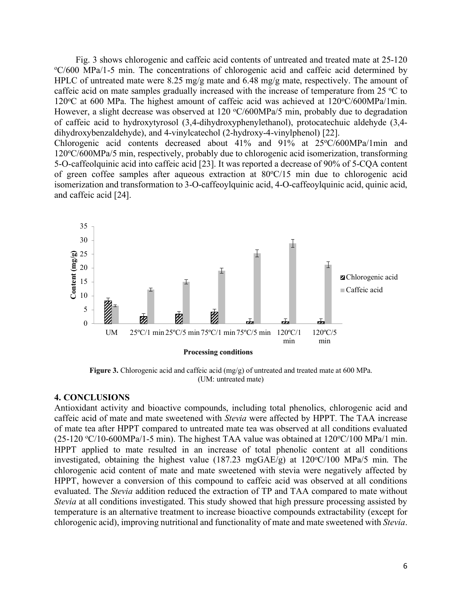Fig. 3 shows chlorogenic and caffeic acid contents of untreated and treated mate at 25-120 C/600 MPa/1-5 min. The concentrations of chlorogenic acid and caffeic acid determined by HPLC of untreated mate were 8.25 mg/g mate and 6.48 mg/g mate, respectively. The amount of caffeic acid on mate samples gradually increased with the increase of temperature from  $25 \degree C$  to 120°C at 600 MPa. The highest amount of caffeic acid was achieved at 120°C/600MPa/1min. However, a slight decrease was observed at  $120 \text{ °C}/600 \text{MPa}/5 \text{ min}$ , probably due to degradation of caffeic acid to hydroxytyrosol (3,4-dihydroxyphenylethanol), protocatechuic aldehyde (3,4 dihydroxybenzaldehyde), and 4-vinylcatechol (2-hydroxy-4-vinylphenol) [22]. Chlorogenic acid contents decreased about 41% and 91% at 25°C/600MPa/1min and 120°C/600MPa/5 min, respectively, probably due to chlorogenic acid isomerization, transforming 5-O-caffeolquinic acid into caffeic acid [23]. It was reported a decrease of 90% of 5-CQA content of green coffee samples after aqueous extraction at 80°C/15 min due to chlorogenic acid isomerization and transformation to 3-O-caffeoylquinic acid, 4-O-caffeoylquinic acid, quinic acid,



**Figure 3.** Chlorogenic acid and caffeic acid (mg/g) of untreated and treated mate at 600 MPa. (UM: untreated mate)

#### **4. CONCLUSIONS**

and caffeic acid [24].

Antioxidant activity and bioactive compounds, including total phenolics, chlorogenic acid and caffeic acid of mate and mate sweetened with *Stevia* were affected by HPPT. The TAA increase of mate tea after HPPT compared to untreated mate tea was observed at all conditions evaluated  $(25-120 \text{ °C}/10-600 \text{ MPa}/1-5 \text{ min})$ . The highest TAA value was obtained at  $120 \text{ °C}/100 \text{ MPa}/1 \text{ min}$ . HPPT applied to mate resulted in an increase of total phenolic content at all conditions investigated, obtaining the highest value  $(187.23 \text{ mgGAE/g})$  at  $120\text{°C}/100 \text{ MPa/5}$  min. The chlorogenic acid content of mate and mate sweetened with stevia were negatively affected by HPPT, however a conversion of this compound to caffeic acid was observed at all conditions evaluated. The *Stevia* addition reduced the extraction of TP and TAA compared to mate without *Stevia* at all conditions investigated. This study showed that high pressure processing assisted by temperature is an alternative treatment to increase bioactive compounds extractability (except for chlorogenic acid), improving nutritional and functionality of mate and mate sweetened with *Stevia*.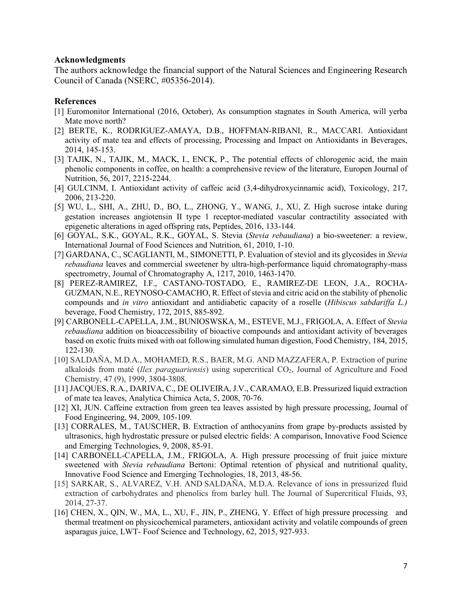#### **Acknowledgments**

The authors acknowledge the financial support of the Natural Sciences and Engineering Research Council of Canada (NSERC, #05356-2014).

#### **References**

- [1] Euromonitor International (2016, October), As consumption stagnates in South America, will yerba Mate move north?
- [2] BERTE, K., RODRIGUEZ-AMAYA, D.B., HOFFMAN-RIBANI, R., MACCARI. Antioxidant activity of mate tea and effects of processing, Processing and Impact on Antioxidants in Beverages, 2014, 145-153.
- [3] TAJIK, N., TAJIK, M., MACK, I., ENCK, P., The potential effects of chlorogenic acid, the main phenolic components in coffee, on health: a comprehensive review of the literature, Europen Journal of Nutrition, 56, 2017, 2215-2244.
- [4] GULCINM, I. Antioxidant activity of caffeic acid (3,4-dihydroxycinnamic acid), Toxicology, 217, 2006, 213-220.
- [5] WU, L., SHI, A., ZHU, D., BO, L., ZHONG, Y., WANG, J., XU, Z. High sucrose intake during gestation increases angiotensin II type 1 receptor-mediated vascular contractility associated with epigenetic alterations in aged offspring rats, Peptides, 2016, 133-144.
- [6] GOYAL, S.K., GOYAL, R.K., GOYAL, S. Stevia (*Stevia rebaudiana*) a bio-sweetener: a review, International Journal of Food Sciences and Nutrition, 61, 2010, 1-10.
- [7] GARDANA, C., SCAGLIANTI, M., SIMONETTI, P. Evaluation of steviol and its glycosides in *Stevia rebaudiana* leaves and commercial sweetener by ultra-high-performance liquid chromatography-mass spectrometry, Journal of Chromatography A, 1217, 2010, 1463-1470.
- [8] PEREZ-RAMIREZ, I.F., CASTANO-TOSTADO, E., RAMIREZ-DE LEON, J.A., ROCHA-GUZMAN, N.E., REYNOSO-CAMACHO, R. Effect of stevia and citric acid on the stability of phenolic compounds and *in vitro* antioxidant and antidiabetic capacity of a roselle (*Hibiscus sabdariffa L.)* beverage, Food Chemistry, 172, 2015, 885-892.
- [9] CARBONELL-CAPELLA, J.M., BUNIOSWSKA, M., ESTEVE, M.J., FRIGOLA, A. Effect of *Stevia rebaudiana* addition on bioaccessibility of bioactive compounds and antioxidant activity of beverages based on exotic fruits mixed with oat following simulated human digestion, Food Chemistry, 184, 2015, 122-130.
- [10] SALDAÑA, M.D.A., MOHAMED, R.S., BAER, M.G. AND MAZZAFERA, P. Extraction of purine alkaloids from maté (*Ilex paraguariensis*) using supercritical CO2, Journal of Agriculture and Food Chemistry, 47 (9), 1999, 3804-3808.
- [11] JACQUES, R.A., DARIVA, C., DE OLIVEIRA, J.V., CARAMAO, E.B. Pressurized liquid extraction of mate tea leaves, Analytica Chimica Acta, 5, 2008, 70-76.
- [12] XI, JUN. Caffeine extraction from green tea leaves assisted by high pressure processing, Journal of Food Engineering, 94, 2009, 105-109.
- [13] CORRALES, M., TAUSCHER, B. Extraction of anthocyanins from grape by-products assisted by ultrasonics, high hydrostatic pressure or pulsed electric fields: A comparison, Innovative Food Science and Emerging Technologies, 9, 2008, 85-91.
- [14] CARBONELL-CAPELLA, J.M., FRIGOLA, A. High pressure processing of fruit juice mixture sweetened with *Stevia rebaudiana* Bertoni: Optimal retention of physical and nutritional quality, Innovative Food Science and Emerging Technologies, 18, 2013, 48-56.
- [15] SARKAR, S., ALVAREZ, V.H. AND SALDAÑA, M.D.A. Relevance of ions in pressurized fluid extraction of carbohydrates and phenolics from barley hull. The Journal of Supercritical Fluids, 93, 2014, 27-37.
- [16] CHEN, X., QIN, W., MA, L., XU, F., JIN, P., ZHENG, Y. Effect of high pressure processing and thermal treatment on physicochemical parameters, antioxidant activity and volatile compounds of green asparagus juice, LWT- Foof Science and Technology, 62, 2015, 927-933.